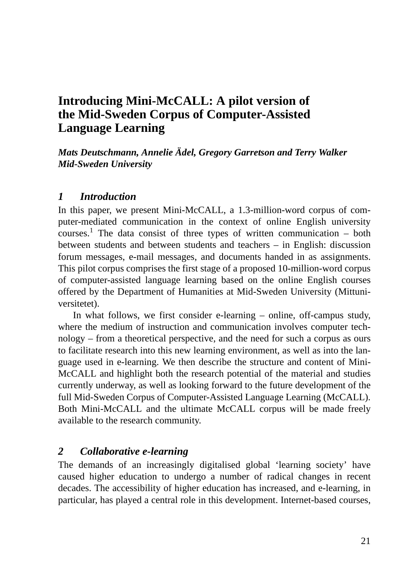# **Introducing Mini-McCALL: A pilot version of the Mid-Sweden Corpus of Computer-Assisted Language Learning**

*Mats Deutschmann, Annelie Ädel, Gregory Garretson and Terry Walker Mid-Sweden University*

#### *1 Introduction*

In this paper, we present Mini-McCALL, a 1.3-million-word corpus of computer-mediated communication in the context of online English university courses.<sup>1</sup> The data consist of three types of written communication – both between students and between students and teachers – in English: discussion forum messages, e-mail messages, and documents handed in as assignments. This pilot corpus comprises the first stage of a proposed 10-million-word corpus of computer-assisted language learning based on the online English courses offered by the Department of Humanities at Mid-Sweden University (Mittuniversitetet).

In what follows, we first consider e-learning – online, off-campus study, where the medium of instruction and communication involves computer technology – from a theoretical perspective, and the need for such a corpus as ours to facilitate research into this new learning environment, as well as into the language used in e-learning. We then describe the structure and content of Mini-McCALL and highlight both the research potential of the material and studies currently underway, as well as looking forward to the future development of the full Mid-Sweden Corpus of Computer-Assisted Language Learning (McCALL). Both Mini-McCALL and the ultimate McCALL corpus will be made freely available to the research community.

#### *2 Collaborative e-learning*

The demands of an increasingly digitalised global 'learning society' have caused higher education to undergo a number of radical changes in recent decades. The accessibility of higher education has increased, and e-learning, in particular, has played a central role in this development. Internet-based courses,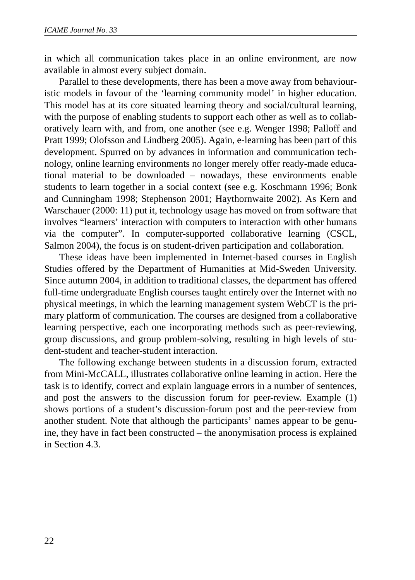in which all communication takes place in an online environment, are now available in almost every subject domain.

Parallel to these developments, there has been a move away from behaviouristic models in favour of the 'learning community model' in higher education. This model has at its core situated learning theory and social/cultural learning, with the purpose of enabling students to support each other as well as to collaboratively learn with, and from, one another (see e.g. Wenger 1998; Palloff and Pratt 1999; Olofsson and Lindberg 2005). Again, e-learning has been part of this development. Spurred on by advances in information and communication technology, online learning environments no longer merely offer ready-made educational material to be downloaded – nowadays, these environments enable students to learn together in a social context (see e.g. Koschmann 1996; Bonk and Cunningham 1998; Stephenson 2001; Haythornwaite 2002). As Kern and Warschauer (2000: 11) put it, technology usage has moved on from software that involves "learners' interaction with computers to interaction with other humans via the computer". In computer-supported collaborative learning (CSCL, Salmon 2004), the focus is on student-driven participation and collaboration.

These ideas have been implemented in Internet-based courses in English Studies offered by the Department of Humanities at Mid-Sweden University. Since autumn 2004, in addition to traditional classes, the department has offered full-time undergraduate English courses taught entirely over the Internet with no physical meetings, in which the learning management system WebCT is the primary platform of communication. The courses are designed from a collaborative learning perspective, each one incorporating methods such as peer-reviewing, group discussions, and group problem-solving, resulting in high levels of student-student and teacher-student interaction.

The following exchange between students in a discussion forum, extracted from Mini-McCALL, illustrates collaborative online learning in action. Here the task is to identify, correct and explain language errors in a number of sentences, and post the answers to the discussion forum for peer-review. Example (1) shows portions of a student's discussion-forum post and the peer-review from another student. Note that although the participants' names appear to be genuine, they have in fact been constructed – the anonymisation process is explained in Section 4.3.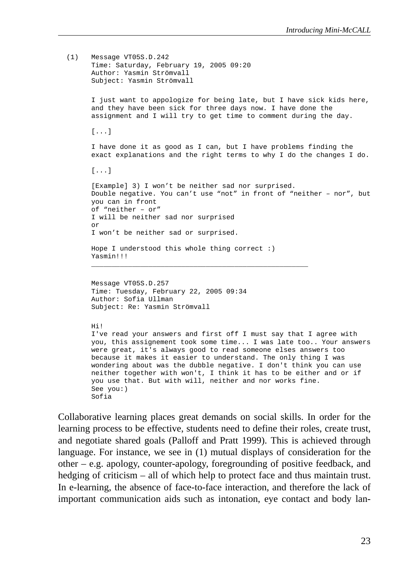```
(1) Message VT05S.D.242
    Time: Saturday, February 19, 2005 09:20
     Author: Yasmin Strömvall
     Subject: Yasmin Strömvall
     I just want to appologize for being late, but I have sick kids here,
     and they have been sick for three days now. I have done the
     assignment and I will try to get time to comment during the day.
     [...]
     I have done it as good as I can, but I have problems finding the
     exact explanations and the right terms to why I do the changes I do.
     [...]
     [Example] 3) I won't be neither sad nor surprised.
     Double negative. You can't use "not" in front of "neither – nor", but
    you can in front 
     of "neither – or"
     I will be neither sad nor surprised
     or
     I won't be neither sad or surprised.
    Hope I understood this whole thing correct :)
     Yasmin!!!
     _____________________________________________________
    Message VT05S.D.257
    Time: Tuesday, February 22, 2005 09:34
    Author: Sofia Ullman
    Subject: Re: Yasmin Strömvall
```
#### Hi!

I've read your answers and first off I must say that I agree with you, this assignement took some time... I was late too.. Your answers were great, it's always good to read someone elses answers too because it makes it easier to understand. The only thing I was wondering about was the dubble negative. I don't think you can use neither together with won't, I think it has to be either and or if you use that. But with will, neither and nor works fine. See you:) Sofia

Collaborative learning places great demands on social skills. In order for the learning process to be effective, students need to define their roles, create trust, and negotiate shared goals (Palloff and Pratt 1999). This is achieved through language. For instance, we see in (1) mutual displays of consideration for the other – e.g. apology, counter-apology, foregrounding of positive feedback, and hedging of criticism – all of which help to protect face and thus maintain trust. In e-learning, the absence of face-to-face interaction, and therefore the lack of important communication aids such as intonation, eye contact and body lan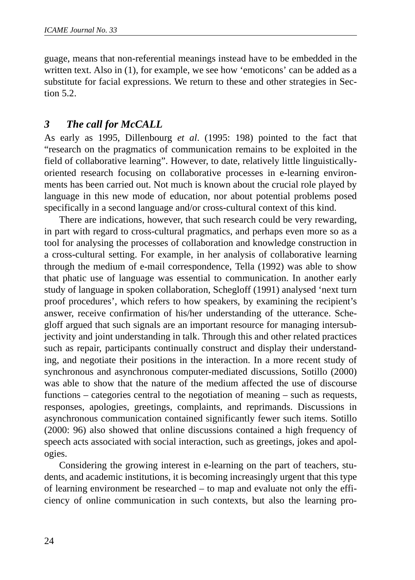guage, means that non-referential meanings instead have to be embedded in the written text. Also in (1), for example, we see how 'emoticons' can be added as a substitute for facial expressions. We return to these and other strategies in Section  $5.2<sub>1</sub>$ 

### *3 The call for McCALL*

As early as 1995, Dillenbourg *et al*. (1995: 198) pointed to the fact that "research on the pragmatics of communication remains to be exploited in the field of collaborative learning". However, to date, relatively little linguisticallyoriented research focusing on collaborative processes in e-learning environments has been carried out. Not much is known about the crucial role played by language in this new mode of education, nor about potential problems posed specifically in a second language and/or cross-cultural context of this kind.

There are indications, however, that such research could be very rewarding, in part with regard to cross-cultural pragmatics, and perhaps even more so as a tool for analysing the processes of collaboration and knowledge construction in a cross-cultural setting. For example, in her analysis of collaborative learning through the medium of e-mail correspondence, Tella (1992) was able to show that phatic use of language was essential to communication. In another early study of language in spoken collaboration, Schegloff (1991) analysed 'next turn proof procedures', which refers to how speakers, by examining the recipient's answer, receive confirmation of his/her understanding of the utterance. Schegloff argued that such signals are an important resource for managing intersubjectivity and joint understanding in talk. Through this and other related practices such as repair, participants continually construct and display their understanding, and negotiate their positions in the interaction. In a more recent study of synchronous and asynchronous computer-mediated discussions, Sotillo (2000) was able to show that the nature of the medium affected the use of discourse functions – categories central to the negotiation of meaning – such as requests, responses, apologies, greetings, complaints, and reprimands. Discussions in asynchronous communication contained significantly fewer such items. Sotillo (2000: 96) also showed that online discussions contained a high frequency of speech acts associated with social interaction, such as greetings, jokes and apologies.

Considering the growing interest in e-learning on the part of teachers, students, and academic institutions, it is becoming increasingly urgent that this type of learning environment be researched – to map and evaluate not only the efficiency of online communication in such contexts, but also the learning pro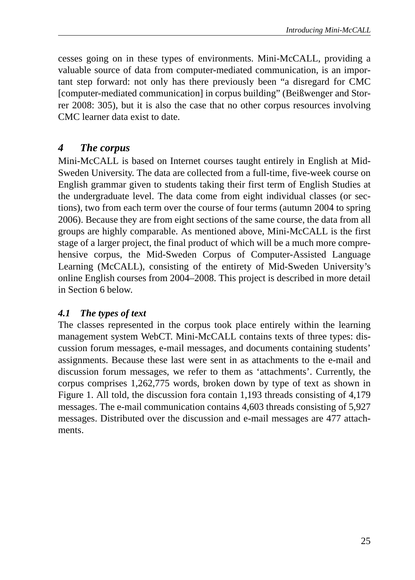cesses going on in these types of environments. Mini-McCALL, providing a valuable source of data from computer-mediated communication, is an important step forward: not only has there previously been "a disregard for CMC [computer-mediated communication] in corpus building" (Beißwenger and Storrer 2008: 305), but it is also the case that no other corpus resources involving CMC learner data exist to date.

### *4 The corpus*

Mini-McCALL is based on Internet courses taught entirely in English at Mid-Sweden University. The data are collected from a full-time, five-week course on English grammar given to students taking their first term of English Studies at the undergraduate level. The data come from eight individual classes (or sections), two from each term over the course of four terms (autumn 2004 to spring 2006). Because they are from eight sections of the same course, the data from all groups are highly comparable. As mentioned above, Mini-McCALL is the first stage of a larger project, the final product of which will be a much more comprehensive corpus, the Mid-Sweden Corpus of Computer-Assisted Language Learning (McCALL), consisting of the entirety of Mid-Sweden University's online English courses from 2004–2008. This project is described in more detail in Section 6 below.

### *4.1 The types of text*

The classes represented in the corpus took place entirely within the learning management system WebCT. Mini-McCALL contains texts of three types: discussion forum messages, e-mail messages, and documents containing students' assignments. Because these last were sent in as attachments to the e-mail and discussion forum messages, we refer to them as 'attachments'. Currently, the corpus comprises 1,262,775 words, broken down by type of text as shown in Figure 1. All told, the discussion fora contain 1,193 threads consisting of 4,179 messages. The e-mail communication contains 4,603 threads consisting of 5,927 messages. Distributed over the discussion and e-mail messages are 477 attachments.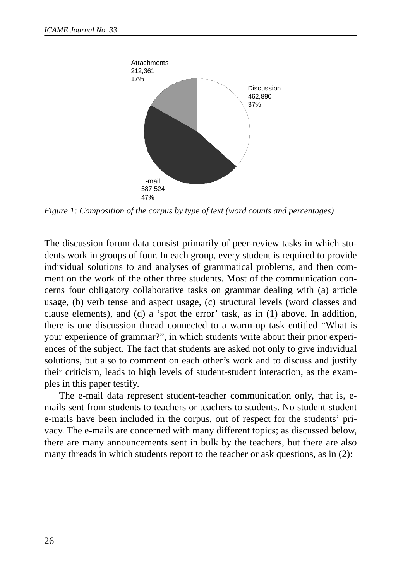

*Figure 1: Composition of the corpus by type of text (word counts and percentages)*

The discussion forum data consist primarily of peer-review tasks in which students work in groups of four. In each group, every student is required to provide individual solutions to and analyses of grammatical problems, and then comment on the work of the other three students. Most of the communication concerns four obligatory collaborative tasks on grammar dealing with (a) article usage, (b) verb tense and aspect usage, (c) structural levels (word classes and clause elements), and (d) a 'spot the error' task, as in (1) above. In addition, there is one discussion thread connected to a warm-up task entitled "What is your experience of grammar?", in which students write about their prior experiences of the subject. The fact that students are asked not only to give individual solutions, but also to comment on each other's work and to discuss and justify their criticism, leads to high levels of student-student interaction, as the examples in this paper testify.

The e-mail data represent student-teacher communication only, that is, emails sent from students to teachers or teachers to students. No student-student e-mails have been included in the corpus, out of respect for the students' privacy. The e-mails are concerned with many different topics; as discussed below, there are many announcements sent in bulk by the teachers, but there are also many threads in which students report to the teacher or ask questions, as in (2):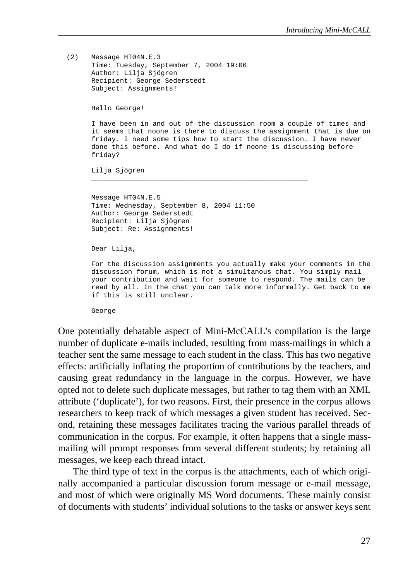```
(2) Message HT04N.E.3
    Time: Tuesday, September 7, 2004 19:06
    Author: Lilja Sjögren
    Recipient: George Sederstedt
     Subject: Assignments! 
    Hello George!
     I have been in and out of the discussion room a couple of times and
     it seems that noone is there to discuss the assignment that is due on
     friday. I need some tips how to start the discussion. I have never
     done this before. And what do I do if noone is discussing before
     friday?
    Lilja Sjögren
     _____________________________________________________
    Message HT04N.E.5
    Time: Wednesday, September 8, 2004 11:50
    Author: George Sederstedt
    Recipient: Lilja Sjögren
    Subject: Re: Assignments!
    Dear Lilja,
    For the discussion assignments you actually make your comments in the
    discussion forum, which is not a simultanous chat. You simply mail
    your contribution and wait for someone to respond. The mails can be
     read by all. In the chat you can talk more informally. Get back to me
     if this is still unclear.
     George
```
One potentially debatable aspect of Mini-McCALL's compilation is the large number of duplicate e-mails included, resulting from mass-mailings in which a teacher sent the same message to each student in the class. This has two negative effects: artificially inflating the proportion of contributions by the teachers, and causing great redundancy in the language in the corpus. However, we have opted not to delete such duplicate messages, but rather to tag them with an XML attribute ('duplicate'), for two reasons. First, their presence in the corpus allows researchers to keep track of which messages a given student has received. Second, retaining these messages facilitates tracing the various parallel threads of communication in the corpus. For example, it often happens that a single massmailing will prompt responses from several different students; by retaining all messages, we keep each thread intact.

The third type of text in the corpus is the attachments, each of which originally accompanied a particular discussion forum message or e-mail message, and most of which were originally MS Word documents. These mainly consist of documents with students' individual solutions to the tasks or answer keys sent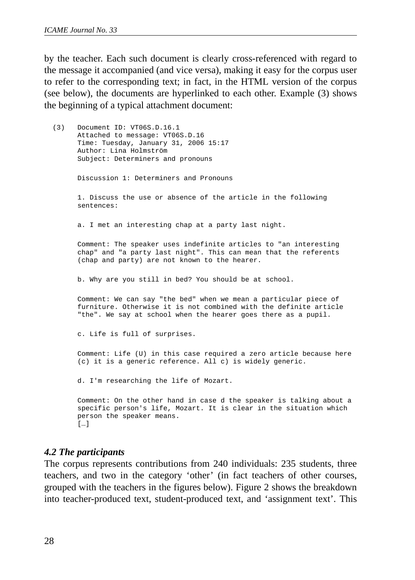by the teacher. Each such document is clearly cross-referenced with regard to the message it accompanied (and vice versa), making it easy for the corpus user to refer to the corresponding text; in fact, in the HTML version of the corpus (see below), the documents are hyperlinked to each other. Example (3) shows the beginning of a typical attachment document:

```
(3) Document ID: VT06S.D.16.1
    Attached to message: VT06S.D.16
    Time: Tuesday, January 31, 2006 15:17
    Author: Lina Holmström
    Subject: Determiners and pronouns
    Discussion 1: Determiners and Pronouns
    1. Discuss the use or absence of the article in the following
    sentences:
    a. I met an interesting chap at a party last night.
    Comment: The speaker uses indefinite articles to "an interesting
    chap" and "a party last night". This can mean that the referents
    (chap and party) are not known to the hearer.
    b. Why are you still in bed? You should be at school.
    Comment: We can say "the bed" when we mean a particular piece of
    furniture. Otherwise it is not combined with the definite article
    "the". We say at school when the hearer goes there as a pupil.
    c. Life is full of surprises.
    Comment: Life (U) in this case required a zero article because here
    (c) it is a generic reference. All c) is widely generic.
    d. I'm researching the life of Mozart.
    Comment: On the other hand in case d the speaker is talking about a
    specific person's life, Mozart. It is clear in the situation which
    person the speaker means.
     […]
```
#### *4.2 The participants*

The corpus represents contributions from 240 individuals: 235 students, three teachers, and two in the category 'other' (in fact teachers of other courses, grouped with the teachers in the figures below). Figure 2 shows the breakdown into teacher-produced text, student-produced text, and 'assignment text'. This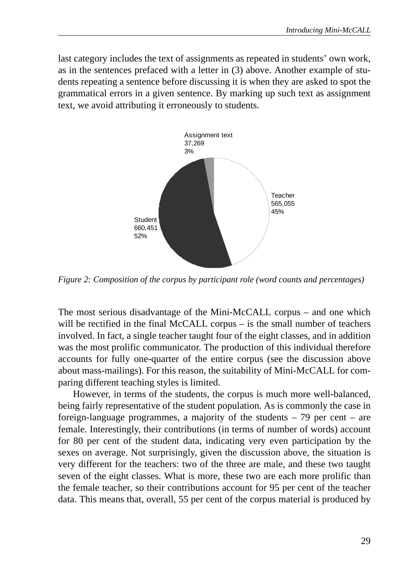last category includes the text of assignments as repeated in students' own work, as in the sentences prefaced with a letter in (3) above. Another example of students repeating a sentence before discussing it is when they are asked to spot the grammatical errors in a given sentence. By marking up such text as assignment text, we avoid attributing it erroneously to students.



*Figure 2: Composition of the corpus by participant role (word counts and percentages)*

The most serious disadvantage of the Mini-McCALL corpus – and one which will be rectified in the final McCALL corpus – is the small number of teachers involved. In fact, a single teacher taught four of the eight classes, and in addition was the most prolific communicator. The production of this individual therefore accounts for fully one-quarter of the entire corpus (see the discussion above about mass-mailings). For this reason, the suitability of Mini-McCALL for comparing different teaching styles is limited.

However, in terms of the students, the corpus is much more well-balanced, being fairly representative of the student population. As is commonly the case in foreign-language programmes, a majority of the students – 79 per cent – are female. Interestingly, their contributions (in terms of number of words) account for 80 per cent of the student data, indicating very even participation by the sexes on average. Not surprisingly, given the discussion above, the situation is very different for the teachers: two of the three are male, and these two taught seven of the eight classes. What is more, these two are each more prolific than the female teacher, so their contributions account for 95 per cent of the teacher data. This means that, overall, 55 per cent of the corpus material is produced by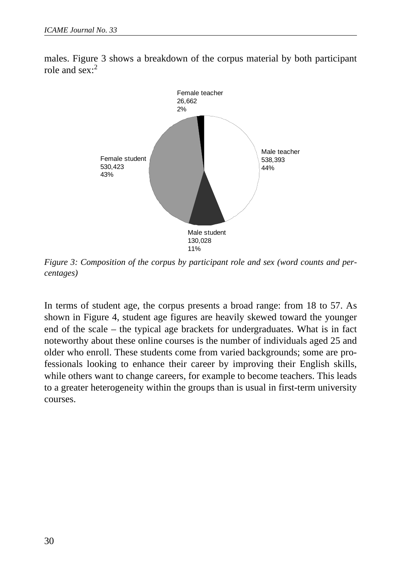

males. Figure 3 shows a breakdown of the corpus material by both participant role and  $\text{sex} \cdot^2$ 

*Figure 3: Composition of the corpus by participant role and sex (word counts and percentages)*

In terms of student age, the corpus presents a broad range: from 18 to 57. As shown in Figure 4, student age figures are heavily skewed toward the younger end of the scale – the typical age brackets for undergraduates. What is in fact noteworthy about these online courses is the number of individuals aged 25 and older who enroll. These students come from varied backgrounds; some are professionals looking to enhance their career by improving their English skills, while others want to change careers, for example to become teachers. This leads to a greater heterogeneity within the groups than is usual in first-term university courses.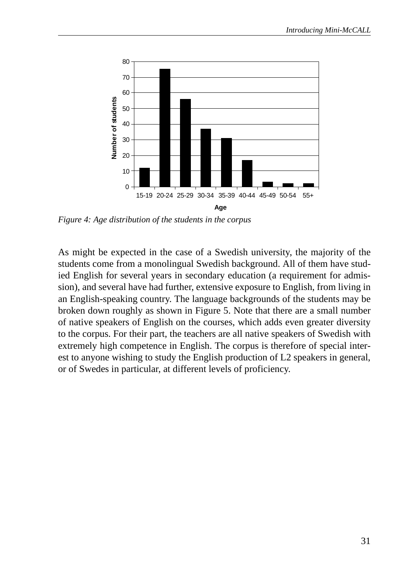

*Figure 4: Age distribution of the students in the corpus*

As might be expected in the case of a Swedish university, the majority of the students come from a monolingual Swedish background. All of them have studied English for several years in secondary education (a requirement for admission), and several have had further, extensive exposure to English, from living in an English-speaking country. The language backgrounds of the students may be broken down roughly as shown in Figure 5. Note that there are a small number of native speakers of English on the courses, which adds even greater diversity to the corpus. For their part, the teachers are all native speakers of Swedish with extremely high competence in English. The corpus is therefore of special interest to anyone wishing to study the English production of L2 speakers in general, or of Swedes in particular, at different levels of proficiency.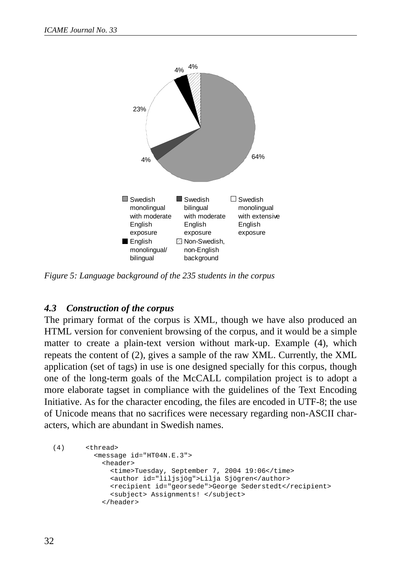

*Figure 5: Language background of the 235 students in the corpus*

#### *4.3 Construction of the corpus*

The primary format of the corpus is XML, though we have also produced an HTML version for convenient browsing of the corpus, and it would be a simple matter to create a plain-text version without mark-up. Example (4), which repeats the content of (2), gives a sample of the raw XML. Currently, the XML application (set of tags) in use is one designed specially for this corpus, though one of the long-term goals of the McCALL compilation project is to adopt a more elaborate tagset in compliance with the guidelines of the Text Encoding Initiative. As for the character encoding, the files are encoded in UTF-8; the use of Unicode means that no sacrifices were necessary regarding non-ASCII characters, which are abundant in Swedish names.

```
(4) <thread>
          <message id="HT04N.E.3">
            <header>
             <time>Tuesday, September 7, 2004 19:06</time>
              <author id="liljsjög">Lilja Sjögren</author>
              <recipient id="georsede">George Sederstedt</recipient>
              <subject> Assignments! </subject>
            </header>
```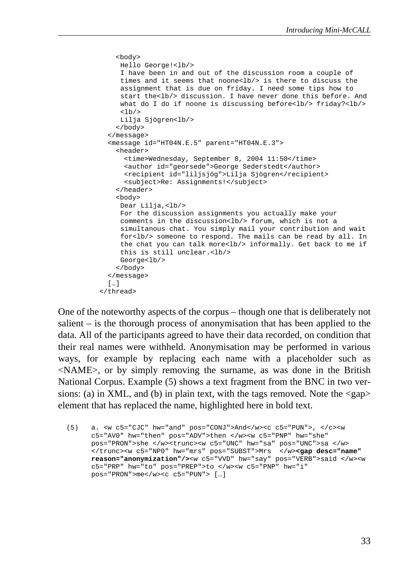```
 <body>
    Hello George!<lb/>
    I have been in and out of the discussion room a couple of 
    times and it seems that noone<lb/> is there to discuss the 
    assignment that is due on friday. I need some tips how to 
    start the<lb/> discussion. I have never done this before. And
    what do I do if noone is discussing before<lb/>>b/> friday?<lb/>
    <1b/Lilja Sjögren<lb/>
   </body>
  </message>
  <message id="HT04N.E.5" parent="HT04N.E.3">
    <header>
    <time>Wednesday, September 8, 2004 11:50</time>
     <author id="georsede">George Sederstedt</author>
     <recipient id="liljsjög">Lilja Sjögren</recipient>
     <subject>Re: Assignments!</subject>
   </header>
    <body>
    Dear Lilja,<lb/>
    For the discussion assignments you actually make your 
    comments in the discussion<lb/>>b/> forum, which is not a
    simultanous chat. You simply mail your contribution and wait 
    for<lb/> someone to respond. The mails can be read by all. In 
    the chat you can talk more<lb/>informally. Get back to me if
    this is still unclear.<lb/>
   George<lb/>
   </body>
  </message>
  […] 
</thread>
```
One of the noteworthy aspects of the corpus – though one that is deliberately not salient – is the thorough process of anonymisation that has been applied to the data. All of the participants agreed to have their data recorded, on condition that their real names were withheld. Anonymisation may be performed in various ways, for example by replacing each name with a placeholder such as <NAME>, or by simply removing the surname, as was done in the British National Corpus. Example (5) shows a text fragment from the BNC in two versions: (a) in XML, and (b) in plain text, with the tags removed. Note the  $\langle$ gap $\rangle$ element that has replaced the name, highlighted here in bold text.

```
(5) a. <w c5="CJC" hw="and" pos="CONJ">And</w><c c5="PUN">, </c><w
    c5="AV0" hw="then" pos="ADV">then </w><w c5="PNP" hw="she"
    pos="PRON">she </w><trunc><w c5="UNC" hw="sa" pos="UNC">sa </w>
    </trunc><w c5="NP0" hw="mrs" pos="SUBST">Mrs </w><gap desc="name"
    reason="anonymization"/><w c5="VVD" hw="say" pos="VERB">said </w><w
    c5="PRP" hw="to" pos="PREP">to </w><w c5="PNP" hw="i"
    pos="PRON">me</w><c c5="PUN"> […]
```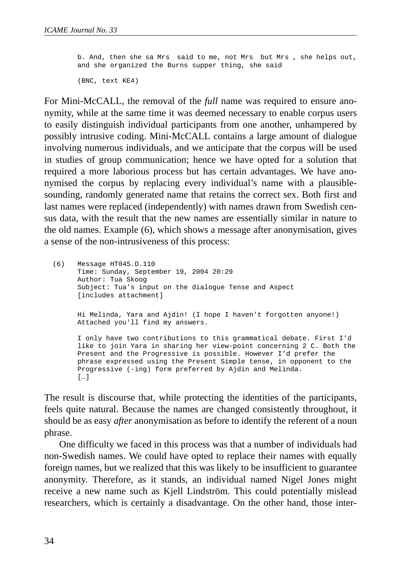b. And, then she sa Mrs said to me, not Mrs but Mrs , she helps out, and she organized the Burns supper thing, she said (BNC, text KE4)

For Mini-McCALL, the removal of the *full* name was required to ensure anonymity, while at the same time it was deemed necessary to enable corpus users to easily distinguish individual participants from one another, unhampered by possibly intrusive coding. Mini-McCALL contains a large amount of dialogue involving numerous individuals, and we anticipate that the corpus will be used in studies of group communication; hence we have opted for a solution that required a more laborious process but has certain advantages. We have anonymised the corpus by replacing every individual's name with a plausiblesounding, randomly generated name that retains the correct sex. Both first and last names were replaced (independently) with names drawn from Swedish census data, with the result that the new names are essentially similar in nature to the old names. Example (6), which shows a message after anonymisation, gives a sense of the non-intrusiveness of this process:

(6) Message HT04S.D.110 Time: Sunday, September 19, 2004 20:29 Author: Tua Skoog Subject: Tua's input on the dialogue Tense and Aspect [includes attachment] Hi Melinda, Yara and Ajdin! (I hope I haven't forgotten anyone!) Attached you'll find my answers. I only have two contributions to this grammatical debate. First I'd like to join Yara in sharing her view-point concerning 2 C. Both the Present and the Progressive is possible. However I'd prefer the phrase expressed using the Present Simple tense, in opponent to the Progressive (-ing) form preferred by Ajdin and Melinda. […]

The result is discourse that, while protecting the identities of the participants, feels quite natural. Because the names are changed consistently throughout, it should be as easy *after* anonymisation as before to identify the referent of a noun phrase.

One difficulty we faced in this process was that a number of individuals had non-Swedish names. We could have opted to replace their names with equally foreign names, but we realized that this was likely to be insufficient to guarantee anonymity. Therefore, as it stands, an individual named Nigel Jones might receive a new name such as Kjell Lindström. This could potentially mislead researchers, which is certainly a disadvantage. On the other hand, those inter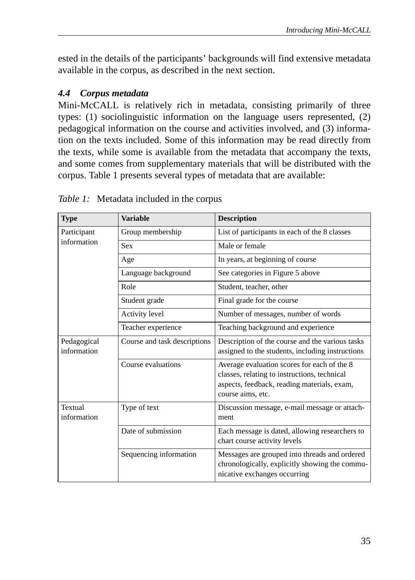ested in the details of the participants' backgrounds will find extensive metadata available in the corpus, as described in the next section.

### *4.4 Corpus metadata*

Mini-McCALL is relatively rich in metadata, consisting primarily of three types: (1) sociolinguistic information on the language users represented, (2) pedagogical information on the course and activities involved, and (3) information on the texts included. Some of this information may be read directly from the texts, while some is available from the metadata that accompany the texts, and some comes from supplementary materials that will be distributed with the corpus. Table 1 presents several types of metadata that are available:

| <b>Type</b>                | <b>Variable</b>              | <b>Description</b>                                                                                                                                              |
|----------------------------|------------------------------|-----------------------------------------------------------------------------------------------------------------------------------------------------------------|
| Participant<br>information | Group membership             | List of participants in each of the 8 classes                                                                                                                   |
|                            | <b>Sex</b>                   | Male or female                                                                                                                                                  |
|                            | Age                          | In years, at beginning of course                                                                                                                                |
|                            | Language background          | See categories in Figure 5 above                                                                                                                                |
|                            | Role                         | Student, teacher, other                                                                                                                                         |
|                            | Student grade                | Final grade for the course                                                                                                                                      |
|                            | Activity level               | Number of messages, number of words                                                                                                                             |
|                            | Teacher experience           | Teaching background and experience                                                                                                                              |
| Pedagogical<br>information | Course and task descriptions | Description of the course and the various tasks<br>assigned to the students, including instructions                                                             |
|                            | Course evaluations           | Average evaluation scores for each of the 8<br>classes, relating to instructions, technical<br>aspects, feedback, reading materials, exam,<br>course aims, etc. |
| Textual<br>information     | Type of text                 | Discussion message, e-mail message or attach-<br>ment                                                                                                           |
|                            | Date of submission           | Each message is dated, allowing researchers to<br>chart course activity levels                                                                                  |
|                            | Sequencing information       | Messages are grouped into threads and ordered<br>chronologically, explicitly showing the commu-<br>nicative exchanges occurring                                 |

*Table 1:* Metadata included in the corpus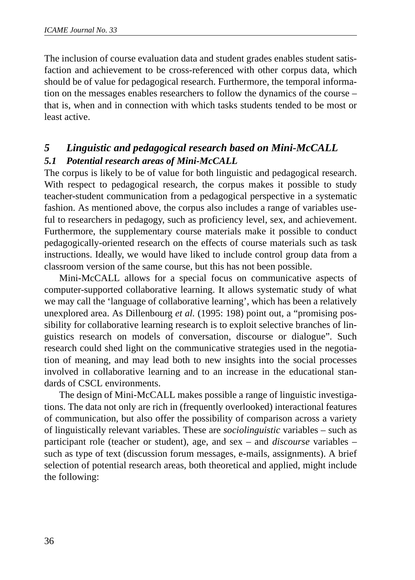The inclusion of course evaluation data and student grades enables student satisfaction and achievement to be cross-referenced with other corpus data, which should be of value for pedagogical research. Furthermore, the temporal information on the messages enables researchers to follow the dynamics of the course – that is, when and in connection with which tasks students tended to be most or least active.

## *5 Linguistic and pedagogical research based on Mini-McCALL 5.1 Potential research areas of Mini-McCALL*

The corpus is likely to be of value for both linguistic and pedagogical research. With respect to pedagogical research, the corpus makes it possible to study teacher-student communication from a pedagogical perspective in a systematic fashion. As mentioned above, the corpus also includes a range of variables useful to researchers in pedagogy, such as proficiency level, sex, and achievement. Furthermore, the supplementary course materials make it possible to conduct pedagogically-oriented research on the effects of course materials such as task instructions. Ideally, we would have liked to include control group data from a classroom version of the same course, but this has not been possible.

Mini-McCALL allows for a special focus on communicative aspects of computer-supported collaborative learning. It allows systematic study of what we may call the 'language of collaborative learning', which has been a relatively unexplored area. As Dillenbourg *et al.* (1995: 198) point out, a "promising possibility for collaborative learning research is to exploit selective branches of linguistics research on models of conversation, discourse or dialogue". Such research could shed light on the communicative strategies used in the negotiation of meaning, and may lead both to new insights into the social processes involved in collaborative learning and to an increase in the educational standards of CSCL environments.

The design of Mini-McCALL makes possible a range of linguistic investigations. The data not only are rich in (frequently overlooked) interactional features of communication, but also offer the possibility of comparison across a variety of linguistically relevant variables. These are *sociolinguistic* variables – such as participant role (teacher or student), age, and sex – and *discourse* variables – such as type of text (discussion forum messages, e-mails, assignments). A brief selection of potential research areas, both theoretical and applied, might include the following: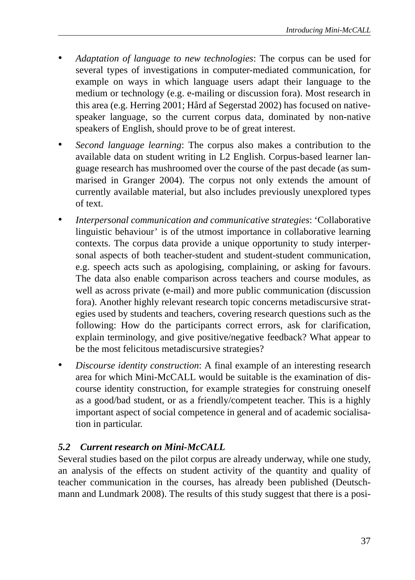- *Adaptation of language to new technologies*: The corpus can be used for several types of investigations in computer-mediated communication, for example on ways in which language users adapt their language to the medium or technology (e.g. e-mailing or discussion fora). Most research in this area (e.g. Herring 2001; Hård af Segerstad 2002) has focused on nativespeaker language, so the current corpus data, dominated by non-native speakers of English, should prove to be of great interest.
- *Second language learning*: The corpus also makes a contribution to the available data on student writing in L2 English. Corpus-based learner language research has mushroomed over the course of the past decade (as summarised in Granger 2004). The corpus not only extends the amount of currently available material, but also includes previously unexplored types of text.
- *Interpersonal communication and communicative strategies*: 'Collaborative linguistic behaviour' is of the utmost importance in collaborative learning contexts. The corpus data provide a unique opportunity to study interpersonal aspects of both teacher-student and student-student communication, e.g. speech acts such as apologising, complaining, or asking for favours. The data also enable comparison across teachers and course modules, as well as across private (e-mail) and more public communication (discussion fora). Another highly relevant research topic concerns metadiscursive strategies used by students and teachers, covering research questions such as the following: How do the participants correct errors, ask for clarification, explain terminology, and give positive/negative feedback? What appear to be the most felicitous metadiscursive strategies?
- *Discourse identity construction*: A final example of an interesting research area for which Mini-McCALL would be suitable is the examination of discourse identity construction, for example strategies for construing oneself as a good/bad student, or as a friendly/competent teacher. This is a highly important aspect of social competence in general and of academic socialisation in particular.

### *5.2 Current research on Mini-McCALL*

Several studies based on the pilot corpus are already underway, while one study, an analysis of the effects on student activity of the quantity and quality of teacher communication in the courses, has already been published (Deutschmann and Lundmark 2008). The results of this study suggest that there is a posi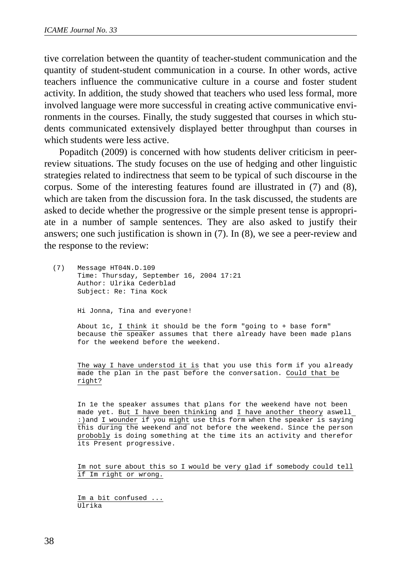tive correlation between the quantity of teacher-student communication and the quantity of student-student communication in a course. In other words, active teachers influence the communicative culture in a course and foster student activity. In addition, the study showed that teachers who used less formal, more involved language were more successful in creating active communicative environments in the courses. Finally, the study suggested that courses in which students communicated extensively displayed better throughput than courses in which students were less active.

Popaditch (2009) is concerned with how students deliver criticism in peerreview situations. The study focuses on the use of hedging and other linguistic strategies related to indirectness that seem to be typical of such discourse in the corpus. Some of the interesting features found are illustrated in (7) and (8), which are taken from the discussion fora. In the task discussed, the students are asked to decide whether the progressive or the simple present tense is appropriate in a number of sample sentences. They are also asked to justify their answers; one such justification is shown in (7). In (8), we see a peer-review and the response to the review:

(7) Message HT04N.D.109 Time: Thursday, September 16, 2004 17:21 Author: Ulrika Cederblad Subject: Re: Tina Kock Hi Jonna, Tina and everyone!

> About 1c, I think it should be the form "going to + base form" because the speaker assumes that there already have been made plans for the weekend before the weekend.

> The way I have understod it is that you use this form if you already made the plan in the past before the conversation. Could that be right?

> In 1e the speaker assumes that plans for the weekend have not been made yet. But I have been thinking and I have another theory aswell :)and I wounder if you might use this form when the speaker is saying this during the weekend and not before the weekend. Since the person probobly is doing something at the time its an activity and therefor its Present progressive.

> Im not sure about this so I would be very glad if somebody could tell if Im right or wrong.

Im a bit confused ... Ulrika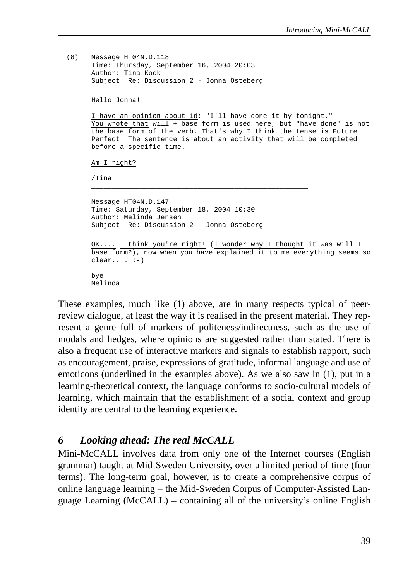```
(8) Message HT04N.D.118
    Time: Thursday, September 16, 2004 20:03
    Author: Tina Kock
    Subject: Re: Discussion 2 - Jonna Östeberg
    Hello Jonna!
     I have an opinion about 1d: "I'll have done it by tonight."
     You wrote that will + base form is used here, but "have done" is not
    the base form of the verb. That's why I think the tense is Future
    Perfect. The sentence is about an activity that will be completed
    before a specific time.
    Am I right?
     /Tina
     _____________________________________________________
    Message HT04N.D.147
    Time: Saturday, September 18, 2004 10:30
    Author: Melinda Jensen
    Subject: Re: Discussion 2 - Jonna Östeberg
    OK.... I think you're right! (I wonder why I thought it was will +
    base form?), now when you have explained it to me everything seems so
    clear... : -)bye
    Melinda
```
These examples, much like (1) above, are in many respects typical of peerreview dialogue, at least the way it is realised in the present material. They represent a genre full of markers of politeness/indirectness, such as the use of modals and hedges, where opinions are suggested rather than stated. There is also a frequent use of interactive markers and signals to establish rapport, such as encouragement, praise, expressions of gratitude, informal language and use of emoticons (underlined in the examples above). As we also saw in (1), put in a learning-theoretical context, the language conforms to socio-cultural models of learning, which maintain that the establishment of a social context and group identity are central to the learning experience.

#### *6 Looking ahead: The real McCALL*

Mini-McCALL involves data from only one of the Internet courses (English grammar) taught at Mid-Sweden University, over a limited period of time (four terms). The long-term goal, however, is to create a comprehensive corpus of online language learning – the Mid-Sweden Corpus of Computer-Assisted Language Learning (McCALL) – containing all of the university's online English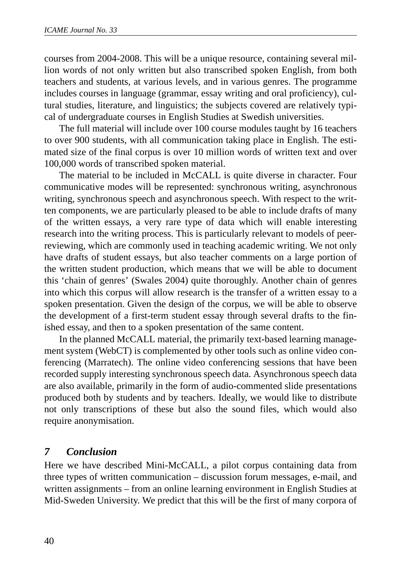courses from 2004-2008. This will be a unique resource, containing several million words of not only written but also transcribed spoken English, from both teachers and students, at various levels, and in various genres. The programme includes courses in language (grammar, essay writing and oral proficiency), cultural studies, literature, and linguistics; the subjects covered are relatively typical of undergraduate courses in English Studies at Swedish universities.

The full material will include over 100 course modules taught by 16 teachers to over 900 students, with all communication taking place in English. The estimated size of the final corpus is over 10 million words of written text and over 100,000 words of transcribed spoken material.

The material to be included in McCALL is quite diverse in character. Four communicative modes will be represented: synchronous writing, asynchronous writing, synchronous speech and asynchronous speech. With respect to the written components, we are particularly pleased to be able to include drafts of many of the written essays, a very rare type of data which will enable interesting research into the writing process. This is particularly relevant to models of peerreviewing, which are commonly used in teaching academic writing. We not only have drafts of student essays, but also teacher comments on a large portion of the written student production, which means that we will be able to document this 'chain of genres' (Swales 2004) quite thoroughly. Another chain of genres into which this corpus will allow research is the transfer of a written essay to a spoken presentation. Given the design of the corpus, we will be able to observe the development of a first-term student essay through several drafts to the finished essay, and then to a spoken presentation of the same content.

In the planned McCALL material, the primarily text-based learning management system (WebCT) is complemented by other tools such as online video conferencing (Marratech). The online video conferencing sessions that have been recorded supply interesting synchronous speech data. Asynchronous speech data are also available, primarily in the form of audio-commented slide presentations produced both by students and by teachers. Ideally, we would like to distribute not only transcriptions of these but also the sound files, which would also require anonymisation.

#### *7 Conclusion*

Here we have described Mini-McCALL, a pilot corpus containing data from three types of written communication – discussion forum messages, e-mail, and written assignments – from an online learning environment in English Studies at Mid-Sweden University. We predict that this will be the first of many corpora of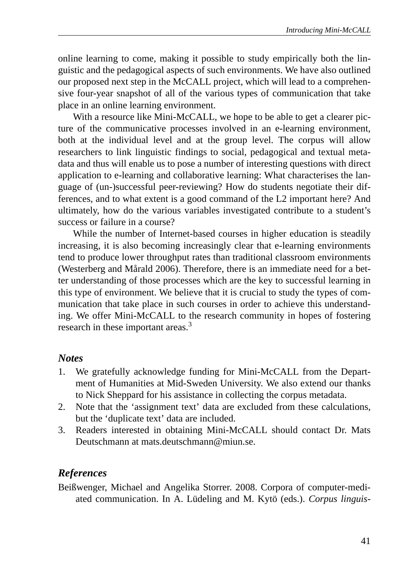online learning to come, making it possible to study empirically both the linguistic and the pedagogical aspects of such environments. We have also outlined our proposed next step in the McCALL project, which will lead to a comprehensive four-year snapshot of all of the various types of communication that take place in an online learning environment.

With a resource like Mini-McCALL, we hope to be able to get a clearer picture of the communicative processes involved in an e-learning environment, both at the individual level and at the group level. The corpus will allow researchers to link linguistic findings to social, pedagogical and textual metadata and thus will enable us to pose a number of interesting questions with direct application to e-learning and collaborative learning: What characterises the language of (un-)successful peer-reviewing? How do students negotiate their differences, and to what extent is a good command of the L2 important here? And ultimately, how do the various variables investigated contribute to a student's success or failure in a course?

While the number of Internet-based courses in higher education is steadily increasing, it is also becoming increasingly clear that e-learning environments tend to produce lower throughput rates than traditional classroom environments (Westerberg and Mårald 2006). Therefore, there is an immediate need for a better understanding of those processes which are the key to successful learning in this type of environment. We believe that it is crucial to study the types of communication that take place in such courses in order to achieve this understanding. We offer Mini-McCALL to the research community in hopes of fostering research in these important areas.<sup>3</sup>

### *Notes*

- 1. We gratefully acknowledge funding for Mini-McCALL from the Department of Humanities at Mid-Sweden University. We also extend our thanks to Nick Sheppard for his assistance in collecting the corpus metadata.
- 2. Note that the 'assignment text' data are excluded from these calculations, but the 'duplicate text' data are included.
- 3. Readers interested in obtaining Mini-McCALL should contact Dr. Mats Deutschmann at mats.deutschmann@miun.se.

### *References*

Beißwenger, Michael and Angelika Storrer. 2008. Corpora of computer-mediated communication. In A. Lüdeling and M. Kytö (eds.). *Corpus linguis-*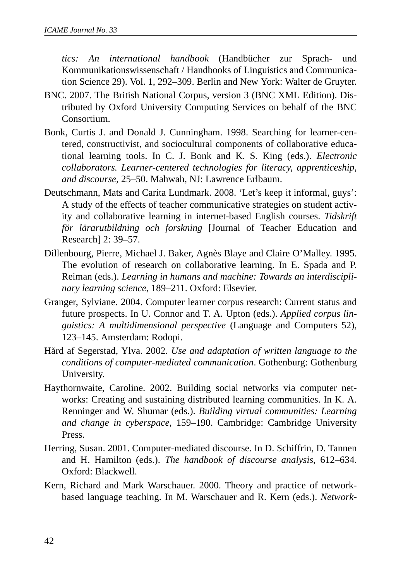*tics: An international handbook* (Handbücher zur Sprach- und Kommunikationswissenschaft / Handbooks of Linguistics and Communication Science 29). Vol. 1, 292–309. Berlin and New York: Walter de Gruyter.

- BNC. 2007. The British National Corpus, version 3 (BNC XML Edition). Distributed by Oxford University Computing Services on behalf of the BNC Consortium.
- Bonk, Curtis J. and Donald J. Cunningham. 1998. Searching for learner-centered, constructivist, and sociocultural components of collaborative educational learning tools. In C. J. Bonk and K. S. King (eds.). *Electronic collaborators. Learner-centered technologies for literacy, apprenticeship, and discourse*, 25–50. Mahwah, NJ: Lawrence Erlbaum.
- Deutschmann, Mats and Carita Lundmark. 2008. 'Let's keep it informal, guys': A study of the effects of teacher communicative strategies on student activity and collaborative learning in internet-based English courses. *Tidskrift för lärarutbildning och forskning* [Journal of Teacher Education and Research] 2: 39–57.
- Dillenbourg, Pierre, Michael J. Baker, Agnès Blaye and Claire O'Malley. 1995. The evolution of research on collaborative learning. In E. Spada and P. Reiman (eds.). *Learning in humans and machine: Towards an interdisciplinary learning science*, 189–211. Oxford: Elsevier.
- Granger, Sylviane. 2004. Computer learner corpus research: Current status and future prospects. In U. Connor and T. A. Upton (eds.). *Applied corpus linguistics: A multidimensional perspective* (Language and Computers 52), 123–145. Amsterdam: Rodopi.
- Hård af Segerstad, Ylva. 2002. *Use and adaptation of written language to the conditions of computer-mediated communication*. Gothenburg: Gothenburg University.
- Haythornwaite, Caroline. 2002. Building social networks via computer networks: Creating and sustaining distributed learning communities. In K. A. Renninger and W. Shumar (eds.). *Building virtual communities: Learning and change in cyberspace*, 159–190. Cambridge: Cambridge University Press.
- Herring, Susan. 2001. Computer-mediated discourse. In D. Schiffrin, D. Tannen and H. Hamilton (eds.). *The handbook of discourse analysis*, 612–634. Oxford: Blackwell.
- Kern, Richard and Mark Warschauer. 2000. Theory and practice of networkbased language teaching. In M. Warschauer and R. Kern (eds.). *Network-*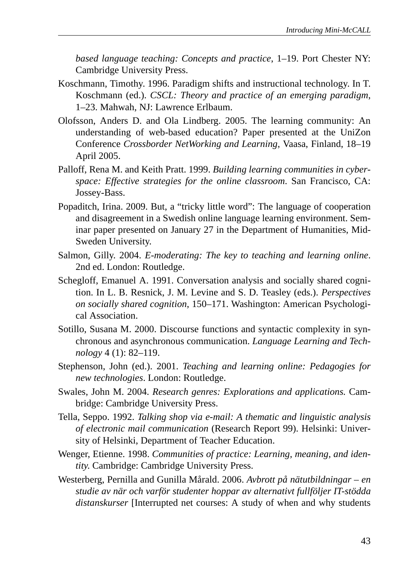*based language teaching: Concepts and practice*, 1–19. Port Chester NY: Cambridge University Press.

- Koschmann, Timothy. 1996. Paradigm shifts and instructional technology. In T. Koschmann (ed.). *CSCL: Theory and practice of an emerging paradigm*, 1–23. Mahwah, NJ: Lawrence Erlbaum.
- Olofsson, Anders D. and Ola Lindberg. 2005. The learning community: An understanding of web-based education? Paper presented at the UniZon Conference *Crossborder NetWorking and Learning*, Vaasa, Finland, 18–19 April 2005.
- Palloff, Rena M. and Keith Pratt. 1999. *Building learning communities in cyberspace: Effective strategies for the online classroom*. San Francisco, CA: Jossey-Bass.
- Popaditch, Irina. 2009. But, a "tricky little word": The language of cooperation and disagreement in a Swedish online language learning environment. Seminar paper presented on January 27 in the Department of Humanities, Mid-Sweden University.
- Salmon, Gilly. 2004. *E-moderating: The key to teaching and learning online*. 2nd ed. London: Routledge.
- Schegloff, Emanuel A. 1991. Conversation analysis and socially shared cognition. In L. B. Resnick, J. M. Levine and S. D. Teasley (eds.). *Perspectives on socially shared cognition*, 150–171. Washington: American Psychological Association.
- Sotillo, Susana M. 2000. Discourse functions and syntactic complexity in synchronous and asynchronous communication. *Language Learning and Technology* 4 (1): 82–119.
- Stephenson, John (ed.). 2001. *Teaching and learning online: Pedagogies for new technologies*. London: Routledge.
- Swales, John M. 2004. *Research genres: Explorations and applications.* Cambridge: Cambridge University Press.
- Tella, Seppo. 1992. *Talking shop via e-mail: A thematic and linguistic analysis of electronic mail communication* (Research Report 99). Helsinki: University of Helsinki, Department of Teacher Education.
- Wenger, Etienne. 1998. *Communities of practice: Learning, meaning, and identity*. Cambridge: Cambridge University Press.
- Westerberg, Pernilla and Gunilla Mårald. 2006. *Avbrott på nätutbildningar* – *en studie av när och varför studenter hoppar av alternativt fullföljer IT-stödda distanskurser* [Interrupted net courses: A study of when and why students